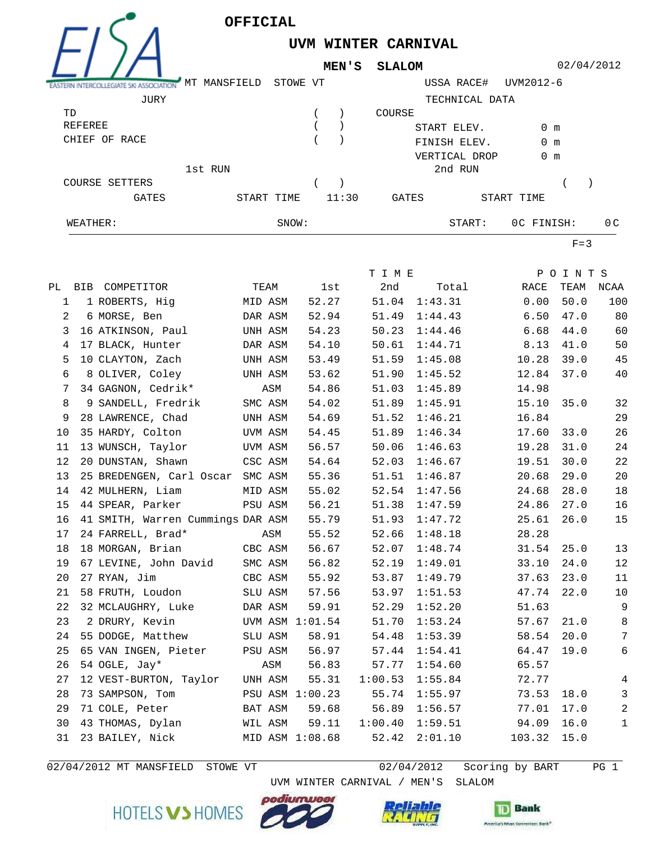

**UVM WINTER CARNIVAL**

**MEN'S SLALOM**



02/04/2012

| <b>ASSOCIATION</b> | MANSFIELD<br>МT | STOWE VT |       | USSA RACE#     | UVM2012-6     |     |
|--------------------|-----------------|----------|-------|----------------|---------------|-----|
| JURY               |                 |          |       | TECHNICAL DATA |               |     |
| TD                 |                 |          |       | COURSE         |               |     |
| REFEREE            |                 |          |       | START ELEV.    | 0 m           |     |
| CHIEF OF RACE      |                 |          |       | FINISH ELEV.   | $0 \text{ m}$ |     |
|                    |                 |          |       | VERTICAL DROP  | $0 \text{ m}$ |     |
|                    | 1st RUN         |          |       | 2nd RUN        |               |     |
| COURSE SETTERS     |                 |          |       |                |               |     |
| GATES              | START TIME      |          | 11:30 | GATES          | START TIME    |     |
| WEATHER:           |                 | SNOW:    |       | START:         | OC FINISH:    | 0 C |
|                    |                 |          |       |                |               |     |

 $F=3$ 

|              |                                   |         |      |                 | T I M E |         |        | POINTS |              |
|--------------|-----------------------------------|---------|------|-----------------|---------|---------|--------|--------|--------------|
|              | PL BIB COMPETITOR                 |         | TEAM | 1st             | 2nd     | Total   | RACE   |        | TEAM NCAA    |
| $\mathbf{1}$ | 1 ROBERTS, Hiq                    | MID ASM |      | 52.27           | 51.04   | 1:43.31 | 0.00   | 50.0   | 100          |
| 2            | 6 MORSE, Ben                      | DAR ASM |      | 52.94           | 51.49   | 1:44.43 | 6.50   | 47.0   | 80           |
| 3            | 16 ATKINSON, Paul                 | UNH ASM |      | 54.23           | 50.23   | 1:44.46 | 6.68   | 44.0   | 60           |
| 4            | 17 BLACK, Hunter                  | DAR ASM |      | 54.10           | 50.61   | 1:44.71 | 8.13   | 41.0   | 50           |
| 5            | 10 CLAYTON, Zach                  | UNH ASM |      | 53.49           | 51.59   | 1:45.08 | 10.28  | 39.0   | 45           |
| 6            | 8 OLIVER, Coley                   | UNH ASM |      | 53.62           | 51.90   | 1:45.52 | 12.84  | 37.0   | 40           |
| 7            | 34 GAGNON, Cedrik*                |         | ASM  | 54.86           | 51.03   | 1:45.89 | 14.98  |        |              |
| 8            | 9 SANDELL, Fredrik                | SMC ASM |      | 54.02           | 51.89   | 1:45.91 | 15.10  | 35.0   | 32           |
| 9            | 28 LAWRENCE, Chad                 | UNH ASM |      | 54.69           | 51.52   | 1:46.21 | 16.84  |        | 29           |
| 10           | 35 HARDY, Colton                  | UVM ASM |      | 54.45           | 51.89   | 1:46.34 | 17.60  | 33.0   | 26           |
| 11           | 13 WUNSCH, Taylor                 | UVM ASM |      | 56.57           | 50.06   | 1:46.63 | 19.28  | 31.0   | 24           |
| 12           | 20 DUNSTAN, Shawn                 | CSC ASM |      | 54.64           | 52.03   | 1:46.67 | 19.51  | 30.0   | $2\sqrt{2}$  |
| 13           | 25 BREDENGEN, Carl Oscar SMC ASM  |         |      | 55.36           | 51.51   | 1:46.87 | 20.68  | 29.0   | 20           |
| 14           | 42 MULHERN, Liam                  | MID ASM |      | 55.02           | 52.54   | 1:47.56 | 24.68  | 28.0   | 18           |
| 15           | 44 SPEAR, Parker                  | PSU ASM |      | 56.21           | 51.38   | 1:47.59 | 24.86  | 27.0   | 16           |
| 16           | 41 SMITH, Warren Cummings DAR ASM |         |      | 55.79           | 51.93   | 1:47.72 | 25.61  | 26.0   | 15           |
| 17           | 24 FARRELL, Brad*                 |         | ASM  | 55.52           | 52.66   | 1:48.18 | 28.28  |        |              |
| 18           | 18 MORGAN, Brian CBC ASM          |         |      | 56.67           | 52.07   | 1:48.74 | 31.54  | 25.0   | 13           |
| 19           | 67 LEVINE, John David             | SMC ASM |      | 56.82           | 52.19   | 1:49.01 | 33.10  | 24.0   | 12           |
| 20           | 27 RYAN, Jim                      | CBC ASM |      | 55.92           | 53.87   | 1:49.79 | 37.63  | 23.0   | 11           |
| 21           | 58 FRUTH, Loudon                  | SLU ASM |      | 57.56           | 53.97   | 1:51.53 | 47.74  | 22.0   | 10           |
| 22           | 32 MCLAUGHRY, Luke                | DAR ASM |      | 59.91           | 52.29   | 1:52.20 | 51.63  |        | 9            |
| 23           | 2 DRURY, Kevin                    |         |      | UVM ASM 1:01.54 | 51.70   | 1:53.24 | 57.67  | 21.0   | 8            |
| 24           | 55 DODGE, Matthew                 | SLU ASM |      | 58.91           | 54.48   | 1:53.39 | 58.54  | 20.0   | 7            |
| 25           | 65 VAN INGEN, Pieter              | PSU ASM |      | 56.97           | 57.44   | 1:54.41 | 64.47  | 19.0   | 6            |
| 26           | 54 OGLE, Jay*                     |         | ASM  | 56.83           | 57.77   | 1:54.60 | 65.57  |        |              |
| 27           | 12 VEST-BURTON, Taylor            | UNH ASM |      | 55.31           | 1:00.53 | 1:55.84 | 72.77  |        | 4            |
| 28           | 73 SAMPSON, Tom                   |         |      | PSU ASM 1:00.23 | 55.74   | 1:55.97 | 73.53  | 18.0   | 3            |
| 29           | 71 COLE, Peter                    | BAT ASM |      | 59.68           | 56.89   | 1:56.57 | 77.01  | 17.0   | 2            |
| 30           | 43 THOMAS, Dylan                  | WIL ASM |      | 59.11           | 1:00.40 | 1:59.51 | 94.09  | 16.0   | $\mathbf{1}$ |
| 31           | 23 BAILEY, Nick                   |         |      | MID ASM 1:08.68 | 52.42   | 2:01.10 | 103.32 | 15.0   |              |
|              |                                   |         |      |                 |         |         |        |        |              |

 $02/04/2012$  MT MANSFIELD STOWE VT

UVM WINTER CARNIVAL / MEN'S SLALOM

 $02/04/2012$  Scoring by BART PG 1





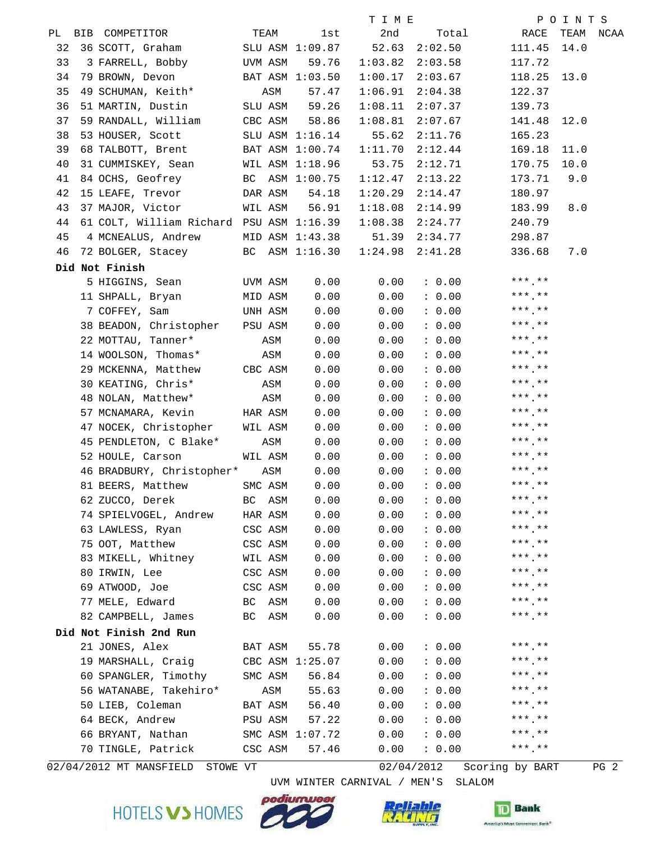|    |                                          |                |                 | T I M E |            |                 | POINTS    |
|----|------------------------------------------|----------------|-----------------|---------|------------|-----------------|-----------|
|    | PL BIB COMPETITOR TEAM                   |                | 1st             | 2nd     |            | Total RACE      | TEAM NCAA |
| 32 | 36 SCOTT, Graham SLU ASM 1:09.87         |                |                 | 52.63   | 2:02.50    | 111.45 14.0     |           |
| 33 | 3 FARRELL, Bobby UVM ASM                 |                | 59.76           | 1:03.82 | 2:03.58    | 117.72          |           |
| 34 | 79 BROWN, Devon BAT ASM 1:03.50          |                |                 | 1:00.17 | 2:03.67    | 118.25 13.0     |           |
| 35 | 49 SCHUMAN, Keith*                       | ASM            | 57.47           | 1:06.91 | 2:04.38    | 122.37          |           |
| 36 | 51 MARTIN, Dustin SLU ASM                |                | 59.26           | 1:08.11 | 2:07.37    | 139.73          |           |
| 37 | 59 RANDALL, William CBC ASM              |                | 58.86           | 1:08.81 | 2:07.67    | 141.48 12.0     |           |
| 38 | 53 HOUSER, Scott SLU ASM 1:16.14         |                |                 | 55.62   | 2:11.76    | 165.23          |           |
| 39 | 68 TALBOTT, Brent BAT ASM 1:00.74        |                |                 | 1:11.70 | 2:12.44    | 169.18          | 11.0      |
| 40 | 31 CUMMISKEY, Sean WIL ASM 1:18.96       |                |                 | 53.75   | 2:12.71    | 170.75          | 10.0      |
| 41 | 84 OCHS, Geofrey BC ASM 1:00.75          |                |                 | 1:12.47 | 2:13.22    | 173.71          | 9.0       |
| 42 | 15 LEAFE, Trevor DAR ASM                 |                | 54.18           | 1:20.29 | 2:14.47    | 180.97          |           |
| 43 | 37 MAJOR, Victor WIL ASM                 |                | 56.91           | 1:18.08 | 2:14.99    | 183.99          | 8.0       |
| 44 | 61 COLT, William Richard PSU ASM 1:16.39 |                |                 | 1:08.38 | 2:24.77    | 240.79          |           |
| 45 | 4 MCNEALUS, Andrew MID ASM 1:43.38       |                |                 | 51.39   | 2:34.77    | 298.87          |           |
|    | 46 72 BOLGER, Stacey BC ASM 1:16.30      |                |                 | 1:24.98 | 2:41.28    | 336.68          | 7.0       |
|    | Did Not Finish                           |                |                 |         |            |                 |           |
|    | 5 HIGGINS, Sean UVM ASM                  |                | 0.00            | 0.00    | : 0.00     | $***$ .**       |           |
|    | 11 SHPALL, Bryan                         | MID ASM        | 0.00            | 0.00    | : 0.00     | $***$ .**       |           |
|    | 7 COFFEY, Sam                            | <b>UNH ASM</b> | 0.00            | 0.00    | : 0.00     | $***$ **        |           |
|    | 38 BEADON, Christopher PSU ASM           |                | 0.00            | 0.00    | : 0.00     | $***$ **        |           |
|    | 22 MOTTAU, Tanner*                       | ASM            | 0.00            | 0.00    | : 0.00     | $***$ **        |           |
|    | 14 WOOLSON, Thomas*                      | <b>ASM</b>     | 0.00            | 0.00    | : 0.00     | $***$ **        |           |
|    | 29 MCKENNA, Matthew CBC ASM              |                | 0.00            | 0.00    | : 0.00     | $***$ **        |           |
|    | 30 KEATING, Chris*                       | ASM            | 0.00            | 0.00    | : 0.00     | $***$ **        |           |
|    | 48 NOLAN, Matthew*                       | ASM            | 0.00            | 0.00    | : 0.00     | $***$ **        |           |
|    | 57 MCNAMARA, Kevin HAR ASM               |                | 0.00            | 0.00    | : 0.00     | $***$ **        |           |
|    | 47 NOCEK, Christopher WIL ASM            |                | 0.00            | 0.00    | : 0.00     | $***$ **        |           |
|    | 45 PENDLETON, C Blake*                   | ASM            | 0.00            | 0.00    | : 0.00     | $***$ **        |           |
|    | 52 HOULE, Carson WIL ASM                 |                | 0.00            | 0.00    | : 0.00     | $***$ **        |           |
|    | 46 BRADBURY, Christopher* ASM            |                | 0.00            | 0.00    | : 0.00     | $***$ **        |           |
|    | 81 BEERS, Matthew                        | SMC ASM        | 0.00            | 0.00    | : 0.00     | $***$ **        |           |
|    | 62 ZUCCO, Derek                          | BC ASM         | 0.00            | 0.00    | : 0.00     | $***$ , **      |           |
|    | 74 SPIELVOGEL, Andrew                    | HAR ASM        | 0.00            | 0.00    | : 0.00     | ***.**          |           |
|    | 63 LAWLESS, Ryan                         | CSC ASM        | 0.00            | 0.00    | : 0.00     | $***$ .**       |           |
|    | 75 OOT, Matthew                          | CSC ASM        | 0.00            | 0.00    | : 0.00     | $***$ **        |           |
|    | 83 MIKELL, Whitney                       | WIL ASM        | 0.00            | 0.00    | : 0.00     | $***$ **        |           |
|    | 80 IRWIN, Lee                            | CSC ASM        | 0.00            | 0.00    | : 0.00     | $***$ **        |           |
|    | 69 ATWOOD, Joe                           | CSC ASM        | 0.00            | 0.00    | : 0.00     | ***.**          |           |
|    | 77 MELE, Edward                          | BC<br>ASM      | 0.00            | 0.00    | : 0.00     | $***$ .**       |           |
|    | 82 CAMPBELL, James                       | BC ASM         | 0.00            | 0.00    | : 0.00     | $***$ **        |           |
|    | Did Not Finish 2nd Run                   |                |                 |         |            |                 |           |
|    | 21 JONES, Alex                           | BAT ASM        | 55.78           | 0.00    | : 0.00     | $***$ **        |           |
|    | 19 MARSHALL, Craig                       |                | CBC ASM 1:25.07 | 0.00    | : 0.00     | $***$ **        |           |
|    | 60 SPANGLER, Timothy                     | SMC ASM        | 56.84           | 0.00    | : 0.00     | ***.**          |           |
|    | 56 WATANABE, Takehiro*                   | ASM            | 55.63           | 0.00    | : 0.00     | $***$ .**       |           |
|    | 50 LIEB, Coleman                         | BAT ASM        | 56.40           | 0.00    | : 0.00     | $***$ .**       |           |
|    | 64 BECK, Andrew                          | PSU ASM        | 57.22           | 0.00    | : 0.00     | $***$ .**       |           |
|    | 66 BRYANT, Nathan                        |                | SMC ASM 1:07.72 | 0.00    | : 0.00     | $***$ **        |           |
|    | 70 TINGLE, Patrick                       | CSC ASM        | 57.46           | 0.00    | : 0.00     | $***$ **        |           |
|    | 02/04/2012 MT MANSFIELD STOWE VT         |                |                 |         | 02/04/2012 | Scoring by BART | PG 2      |

UVM WINTER CARNIVAL / MEN'S SLALOM